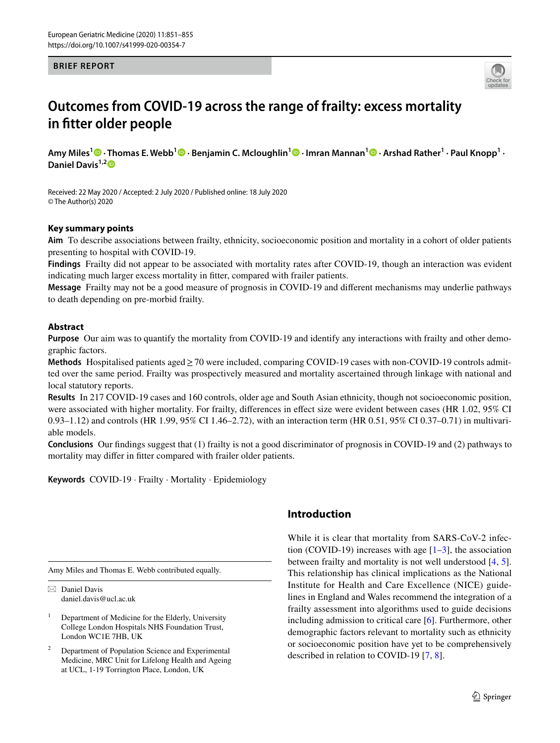## **BRIEF REPORT**



# **Outcomes from COVID‑19 across the range of frailty: excess mortality in ftter older people**

**Amy Miles1 · Thomas E. Webb1 · Benjamin C. Mcloughlin1  [·](http://orcid.org/0000-0002-8691-0675) Imran Mannan1 · Arshad Rather1 · Paul Knopp1 · Daniel Davis1,[2](http://orcid.org/0000-0002-1560-1955)**

Received: 22 May 2020 / Accepted: 2 July 2020 / Published online: 18 July 2020 © The Author(s) 2020

## **Key summary points**

**Aim** To describe associations between frailty, ethnicity, socioeconomic position and mortality in a cohort of older patients presenting to hospital with COVID-19.

**Findings** Frailty did not appear to be associated with mortality rates after COVID-19, though an interaction was evident indicating much larger excess mortality in fitter, compared with frailer patients.

**Message** Frailty may not be a good measure of prognosis in COVID-19 and diferent mechanisms may underlie pathways to death depending on pre-morbid frailty.

## **Abstract**

**Purpose** Our aim was to quantify the mortality from COVID-19 and identify any interactions with frailty and other demographic factors.

**Methods** Hospitalised patients aged≥70 were included, comparing COVID-19 cases with non-COVID-19 controls admitted over the same period. Frailty was prospectively measured and mortality ascertained through linkage with national and local statutory reports.

**Results** In 217 COVID-19 cases and 160 controls, older age and South Asian ethnicity, though not socioeconomic position, were associated with higher mortality. For frailty, diferences in efect size were evident between cases (HR 1.02, 95% CI 0.93–1.12) and controls (HR 1.99, 95% CI 1.46–2.72), with an interaction term (HR 0.51, 95% CI 0.37–0.71) in multivariable models.

**Conclusions** Our fndings suggest that (1) frailty is not a good discriminator of prognosis in COVID-19 and (2) pathways to mortality may difer in ftter compared with frailer older patients.

**Keywords** COVID-19 · Frailty · Mortality · Epidemiology

Amy Miles and Thomas E. Webb contributed equally.

 $\boxtimes$  Daniel Davis daniel.davis@ucl.ac.uk

 $1$  Department of Medicine for the Elderly, University College London Hospitals NHS Foundation Trust, London WC1E 7HB, UK

Department of Population Science and Experimental Medicine, MRC Unit for Lifelong Health and Ageing at UCL, 1-19 Torrington Place, London, UK

# **Introduction**

While it is clear that mortality from SARS-CoV-2 infection (COVID-19) increases with age  $[1-3]$  $[1-3]$ , the association between frailty and mortality is not well understood [[4](#page-4-2), [5](#page-4-3)]. This relationship has clinical implications as the National Institute for Health and Care Excellence (NICE) guidelines in England and Wales recommend the integration of a frailty assessment into algorithms used to guide decisions including admission to critical care [\[6](#page-4-4)]. Furthermore, other demographic factors relevant to mortality such as ethnicity or socioeconomic position have yet to be comprehensively described in relation to COVID-19 [\[7](#page-4-5), [8](#page-4-6)].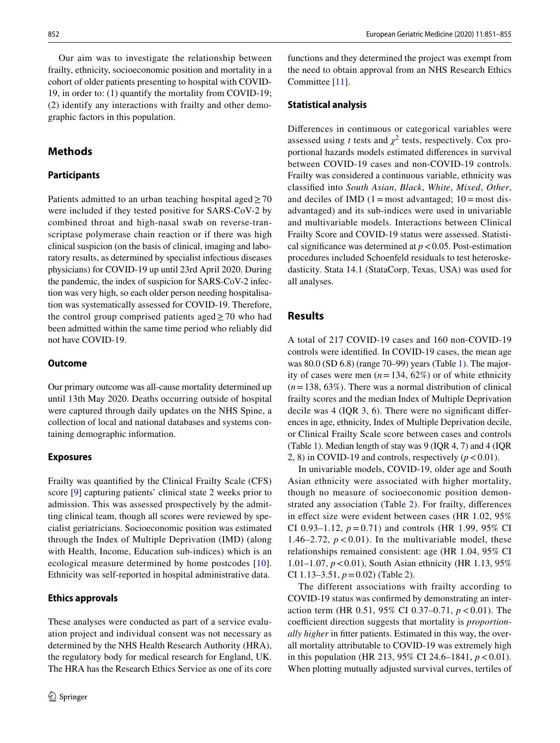Our aim was to investigate the relationship between frailty, ethnicity, socioeconomic position and mortality in a cohort of older patients presenting to hospital with COVID-19, in order to: (1) quantify the mortality from COVID-19; (2) identify any interactions with frailty and other demographic factors in this population.

# **Methods**

## **Participants**

Patients admitted to an urban teaching hospital aged  $\geq$  70 were included if they tested positive for SARS-CoV-2 by combined throat and high-nasal swab on reverse-transcriptase polymerase chain reaction or if there was high clinical suspicion (on the basis of clinical, imaging and laboratory results, as determined by specialist infectious diseases physicians) for COVID-19 up until 23rd April 2020. During the pandemic, the index of suspicion for SARS-CoV-2 infection was very high, so each older person needing hospitalisation was systematically assessed for COVID-19. Therefore, the control group comprised patients aged $\geq$  70 who had been admitted within the same time period who reliably did not have COVID-19.

## **Outcome**

Our primary outcome was all-cause mortality determined up until 13th May 2020. Deaths occurring outside of hospital were captured through daily updates on the NHS Spine, a collection of local and national databases and systems containing demographic information.

#### **Exposures**

Frailty was quantifed by the Clinical Frailty Scale (CFS) score [[9\]](#page-4-7) capturing patients' clinical state 2 weeks prior to admission. This was assessed prospectively by the admitting clinical team, though all scores were reviewed by specialist geriatricians. Socioeconomic position was estimated through the Index of Multiple Deprivation (IMD) (along with Health, Income, Education sub-indices) which is an ecological measure determined by home postcodes [[10](#page-4-8)]. Ethnicity was self-reported in hospital administrative data.

## **Ethics approvals**

These analyses were conducted as part of a service evaluation project and individual consent was not necessary as determined by the NHS Health Research Authority (HRA), the regulatory body for medical research for England, UK. The HRA has the Research Ethics Service as one of its core

functions and they determined the project was exempt from the need to obtain approval from an NHS Research Ethics Committee [[11\]](#page-4-9).

#### **Statistical analysis**

Diferences in continuous or categorical variables were assessed using *t* tests and  $\chi^2$  tests, respectively. Cox proportional hazards models estimated diferences in survival between COVID-19 cases and non-COVID-19 controls. Frailty was considered a continuous variable, ethnicity was classifed into *South Asian*, *Black*, *White*, *Mixed*, *Other*, and deciles of IMD  $(1 = most advanced; 10 = most dis$ advantaged) and its sub-indices were used in univariable and multivariable models. Interactions between Clinical Frailty Score and COVID-19 status were assessed. Statistical significance was determined at  $p < 0.05$ . Post-estimation procedures included Schoenfeld residuals to test heteroskedasticity. Stata 14.1 (StataCorp, Texas, USA) was used for all analyses.

## **Results**

A total of 217 COVID-19 cases and 160 non-COVID-19 controls were identifed. In COVID-19 cases, the mean age was 80.0 (SD 6.8) (range 70–99) years (Table [1\)](#page-2-0). The majority of cases were men  $(n=134, 62\%)$  or of white ethnicity (*n*=138, 63%). There was a normal distribution of clinical frailty scores and the median Index of Multiple Deprivation decile was 4 (IQR 3, 6). There were no signifcant diferences in age, ethnicity, Index of Multiple Deprivation decile, or Clinical Frailty Scale score between cases and controls (Table [1\)](#page-2-0). Median length of stay was 9 (IQR 4, 7) and 4 (IQR 2, 8) in COVID-19 and controls, respectively  $(p < 0.01)$ .

In univariable models, COVID-19, older age and South Asian ethnicity were associated with higher mortality, though no measure of socioeconomic position demonstrated any association (Table [2](#page-2-1)). For frailty, diferences in effect size were evident between cases (HR 1.02, 95%) CI 0.93–1.12,  $p = 0.71$ ) and controls (HR 1.99, 95% CI 1.46–2.72,  $p < 0.01$ ). In the multivariable model, these relationships remained consistent: age (HR 1.04, 95% CI 1.01–1.07, *p*<0.01), South Asian ethnicity (HR 1.13, 95% CI 1.13–3.51, *p*=0.02) (Table [2\)](#page-2-1).

The different associations with frailty according to COVID-19 status was confrmed by demonstrating an interaction term (HR 0.51, 95% CI 0.37–0.71, *p*<0.01). The coefficient direction suggests that mortality is *proportionally higher* in ftter patients. Estimated in this way, the overall mortality attributable to COVID-19 was extremely high in this population (HR 213, 95% CI 24.6–1841,  $p < 0.01$ ). When plotting mutually adjusted survival curves, tertiles of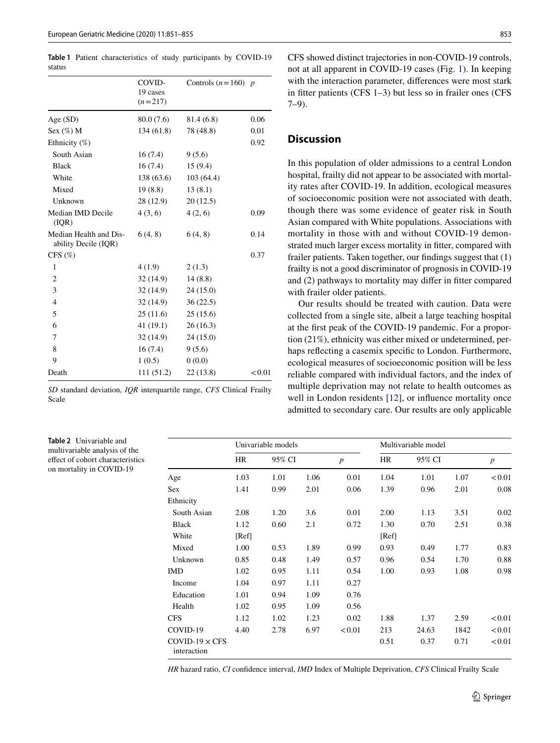<span id="page-2-0"></span>**Table 1** Patient characteristics of study participants by COVID-19 status

|                                                | COVID-<br>19 cases<br>$(n=217)$ | Controls $(n=160)$ p |        |
|------------------------------------------------|---------------------------------|----------------------|--------|
| Age(SD)                                        | 80.0 (7.6)                      | 81.4 (6.8)           | 0.06   |
| Sex $(\%)$ M                                   | 134 (61.8)                      | 78 (48.8)            | 0.01   |
| Ethnicity (%)                                  |                                 |                      | 0.92   |
| South Asian                                    | 16(7.4)                         | 9(5.6)               |        |
| <b>Black</b>                                   | 16(7.4)                         | 15(9.4)              |        |
| White                                          | 138(63.6)                       | 103(64.4)            |        |
| Mixed                                          | 19(8.8)                         | 13(8.1)              |        |
| Unknown                                        | 28 (12.9)                       | 20(12.5)             |        |
| Median IMD Decile<br>(IQR)                     | 4(3,6)                          | 4(2, 6)              | 0.09   |
| Median Health and Dis-<br>ability Decile (IQR) | 6(4, 8)                         | 6(4, 8)              | 0.14   |
| CFS $(\%)$                                     |                                 |                      | 0.37   |
| $\mathbf{1}$                                   | 4(1.9)                          | 2(1.3)               |        |
| $\overline{2}$                                 | 32 (14.9)                       | 14(8.8)              |        |
| 3                                              | 32 (14.9)                       | 24 (15.0)            |        |
| $\overline{4}$                                 | 32 (14.9)                       | 36(22.5)             |        |
| 5                                              | 25(11.6)                        | 25(15.6)             |        |
| 6                                              | 41(19.1)                        | 26(16.3)             |        |
| 7                                              | 32(14.9)                        | 24 (15.0)            |        |
| 8                                              | 16(7.4)                         | 9(5.6)               |        |
| 9                                              | 1(0.5)                          | 0(0.0)               |        |
| Death                                          | 111(51.2)                       | 22(13.8)             | < 0.01 |

*SD* standard deviation, *IQR* interquartile range, *CFS* Clinical Frailty Scale

<span id="page-2-1"></span>**Table 2** Univariable and multivariable analysis of the efect of cohort characteristics on mortality in COVID-19

CFS showed distinct trajectories in non-COVID-19 controls, not at all apparent in COVID-19 cases (Fig. [1](#page-3-0)). In keeping with the interaction parameter, diferences were most stark in ftter patients (CFS 1–3) but less so in frailer ones (CFS 7–9).

# **Discussion**

In this population of older admissions to a central London hospital, frailty did not appear to be associated with mortality rates after COVID-19. In addition, ecological measures of socioeconomic position were not associated with death, though there was some evidence of geater risk in South Asian compared with White populations. Associations with mortality in those with and without COVID-19 demonstrated much larger excess mortality in ftter, compared with frailer patients. Taken together, our fndings suggest that (1) frailty is not a good discriminator of prognosis in COVID-19 and (2) pathways to mortality may difer in ftter compared with frailer older patients.

Our results should be treated with caution. Data were collected from a single site, albeit a large teaching hospital at the frst peak of the COVID-19 pandemic. For a proportion (21%), ethnicity was either mixed or undetermined, perhaps reflecting a casemix specific to London. Furthermore, ecological measures of socioeconomic position will be less reliable compared with individual factors, and the index of multiple deprivation may not relate to health outcomes as well in London residents [[12](#page-4-10)], or influence mortality once admitted to secondary care. Our results are only applicable

|                                      | Univariable models |        |      |                  | Multivariable model |        |      |                  |
|--------------------------------------|--------------------|--------|------|------------------|---------------------|--------|------|------------------|
| Age                                  | HR<br>1.03         | 95% CI |      | $\boldsymbol{p}$ | HR                  | 95% CI |      | $\boldsymbol{p}$ |
|                                      |                    | 1.01   | 1.06 | 0.01             | 1.04                | 1.01   | 1.07 | < 0.01           |
| <b>Sex</b>                           | 1.41               | 0.99   | 2.01 | 0.06             | 1.39                | 0.96   | 2.01 | 0.08             |
| Ethnicity                            |                    |        |      |                  |                     |        |      |                  |
| South Asian                          | 2.08               | 1.20   | 3.6  | 0.01             | 2.00                | 1.13   | 3.51 | 0.02             |
| <b>Black</b>                         | 1.12               | 0.60   | 2.1  | 0.72             | 1.30                | 0.70   | 2.51 | 0.38             |
| White                                | [Ref]              |        |      |                  | [Ref]               |        |      |                  |
| Mixed                                | 1.00               | 0.53   | 1.89 | 0.99             | 0.93                | 0.49   | 1.77 | 0.83             |
| Unknown                              | 0.85               | 0.48   | 1.49 | 0.57             | 0.96                | 0.54   | 1.70 | 0.88             |
| <b>IMD</b>                           | 1.02               | 0.95   | 1.11 | 0.54             | 1.00                | 0.93   | 1.08 | 0.98             |
| Income                               | 1.04               | 0.97   | 1.11 | 0.27             |                     |        |      |                  |
| Education                            | 1.01               | 0.94   | 1.09 | 0.76             |                     |        |      |                  |
| Health                               | 1.02               | 0.95   | 1.09 | 0.56             |                     |        |      |                  |
| <b>CFS</b>                           | 1.12               | 1.02   | 1.23 | 0.02             | 1.88                | 1.37   | 2.59 | < 0.01           |
| COVID-19                             | 4.40               | 2.78   | 6.97 | < 0.01           | 213                 | 24.63  | 1842 | < 0.01           |
| $COVID-19 \times CFS$<br>interaction |                    |        |      |                  | 0.51                | 0.37   | 0.71 | < 0.01           |

*HR* hazard ratio, *CI* confdence interval, *IMD* Index of Multiple Deprivation, *CFS* Clinical Frailty Scale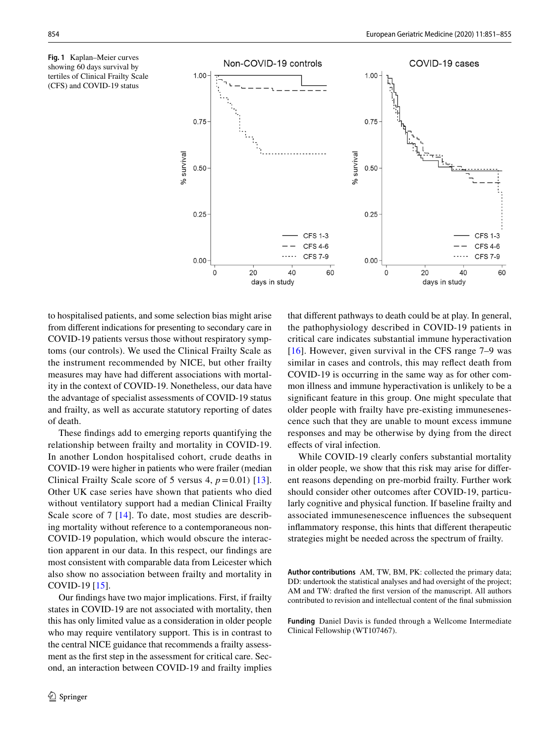<span id="page-3-0"></span>



to hospitalised patients, and some selection bias might arise from diferent indications for presenting to secondary care in COVID-19 patients versus those without respiratory symptoms (our controls). We used the Clinical Frailty Scale as the instrument recommended by NICE, but other frailty measures may have had diferent associations with mortality in the context of COVID-19. Nonetheless, our data have the advantage of specialist assessments of COVID-19 status and frailty, as well as accurate statutory reporting of dates of death.

These fndings add to emerging reports quantifying the relationship between frailty and mortality in COVID-19. In another London hospitalised cohort, crude deaths in COVID-19 were higher in patients who were frailer (median Clinical Frailty Scale score of 5 versus 4,  $p = 0.01$  [[13](#page-4-11)]. Other UK case series have shown that patients who died without ventilatory support had a median Clinical Frailty Scale score of 7 [[14](#page-4-12)]. To date, most studies are describing mortality without reference to a contemporaneous non-COVID-19 population, which would obscure the interaction apparent in our data. In this respect, our fndings are most consistent with comparable data from Leicester which also show no association between frailty and mortality in COVID-19 [[15\]](#page-4-13).

Our fndings have two major implications. First, if frailty states in COVID-19 are not associated with mortality, then this has only limited value as a consideration in older people who may require ventilatory support. This is in contrast to the central NICE guidance that recommends a frailty assessment as the frst step in the assessment for critical care. Second, an interaction between COVID-19 and frailty implies that diferent pathways to death could be at play. In general, the pathophysiology described in COVID-19 patients in critical care indicates substantial immune hyperactivation [[16](#page-4-14)]. However, given survival in the CFS range 7–9 was similar in cases and controls, this may refect death from COVID-19 is occurring in the same way as for other common illness and immune hyperactivation is unlikely to be a signifcant feature in this group. One might speculate that older people with frailty have pre-existing immunesenescence such that they are unable to mount excess immune responses and may be otherwise by dying from the direct efects of viral infection.

While COVID-19 clearly confers substantial mortality in older people, we show that this risk may arise for diferent reasons depending on pre-morbid frailty. Further work should consider other outcomes after COVID-19, particularly cognitive and physical function. If baseline frailty and associated immunesenescence infuences the subsequent infammatory response, this hints that diferent therapeutic strategies might be needed across the spectrum of frailty.

**Author contributions** AM, TW, BM, PK: collected the primary data; DD: undertook the statistical analyses and had oversight of the project; AM and TW: drafted the frst version of the manuscript. All authors contributed to revision and intellectual content of the fnal submission

**Funding** Daniel Davis is funded through a Wellcome Intermediate Clinical Fellowship (WT107467).